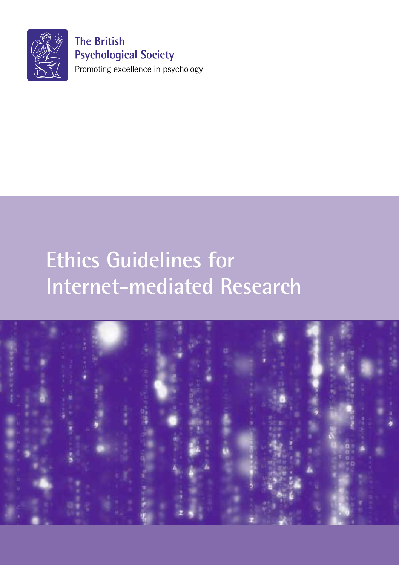

**The British Psychological Society** Promoting excellence in psychology

# **Ethics Guidelines for Internet-mediated Research**

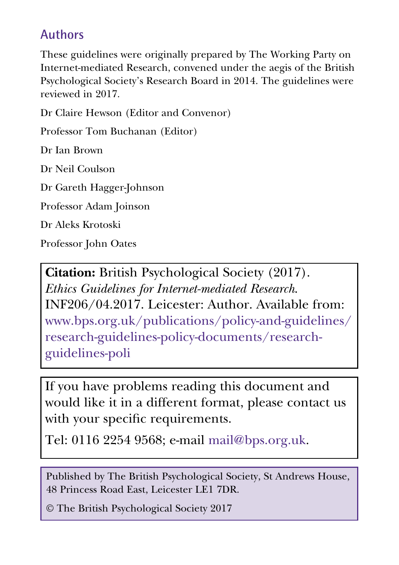### **Authors**

These guidelines were originally prepared by The Working Party on Internet-mediated Research, convened under the aegis of the British Psychological Society's Research Board in 2014. The guidelines were reviewed in 2017.

Dr Claire Hewson (Editor and Convenor)

Professor Tom Buchanan (Editor)

Dr Ian Brown

Dr Neil Coulson

Dr Gareth Hagger-Johnson

Professor Adam Joinson

Dr Aleks Krotoski

Professor John Oates

**Citation:** British Psychological Society (2017). *Ethics Guidelines for Internet-mediated Research*. INF206/04.2017. Leicester: Author. Available from: www.bps.org.uk/publications/policy-and-guidelines/ research-guidelines-policy-documents/researchguidelines-poli

If you have problems reading this document and would like it in a different format, please contact us with your specific requirements.

Tel: 0116 2254 9568; e-mail mail@bps.org.uk.

Published by The British Psychological Society, St Andrews House, 48 Princess Road East, Leicester LE1 7DR.

© The British Psychological Society 2017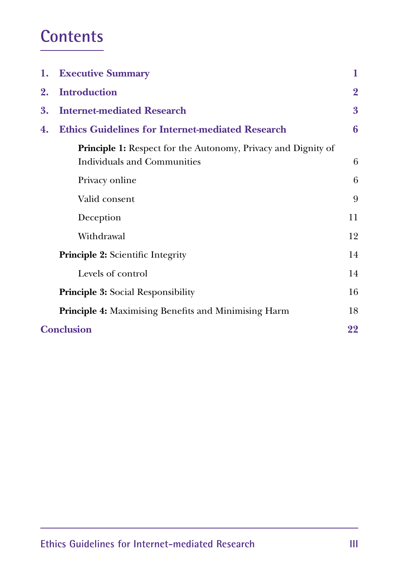### **Contents**

|    | 1. Executive Summary                                                                                       | 1              |
|----|------------------------------------------------------------------------------------------------------------|----------------|
| 2. | <b>Introduction</b>                                                                                        | $\overline{2}$ |
| 3. | <b>Internet-mediated Research</b>                                                                          | 3              |
| 4. | <b>Ethics Guidelines for Internet-mediated Research</b>                                                    | 6              |
|    | <b>Principle 1:</b> Respect for the Autonomy, Privacy and Dignity of<br><b>Individuals and Communities</b> | 6              |
|    | Privacy online                                                                                             | 6              |
|    | Valid consent                                                                                              | 9              |
|    | Deception                                                                                                  | 11             |
|    | Withdrawal                                                                                                 | 12             |
|    | Principle 2: Scientific Integrity                                                                          | 14             |
|    | Levels of control                                                                                          | 14             |
|    | <b>Principle 3: Social Responsibility</b>                                                                  | 16             |
|    | Principle 4: Maximising Benefits and Minimising Harm                                                       | 18             |
|    | <b>Conclusion</b>                                                                                          | 22             |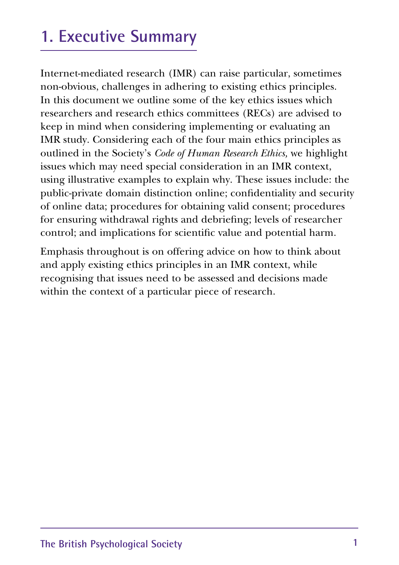## **1. Executive Summary**

Internet-mediated research (IMR) can raise particular, sometimes non-obvious, challenges in adhering to existing ethics principles. In this document we outline some of the key ethics issues which researchers and research ethics committees (RECs) are advised to keep in mind when considering implementing or evaluating an IMR study. Considering each of the four main ethics principles as outlined in the Society's *Code of Human Research Ethics,* we highlight issues which may need special consideration in an IMR context, using illustrative examples to explain why. These issues include: the public-private domain distinction online; confidentiality and security of online data; procedures for obtaining valid consent; procedures for ensuring withdrawal rights and debriefing; levels of researcher control; and implications for scientific value and potential harm.

Emphasis throughout is on offering advice on how to think about and apply existing ethics principles in an IMR context, while recognising that issues need to be assessed and decisions made within the context of a particular piece of research.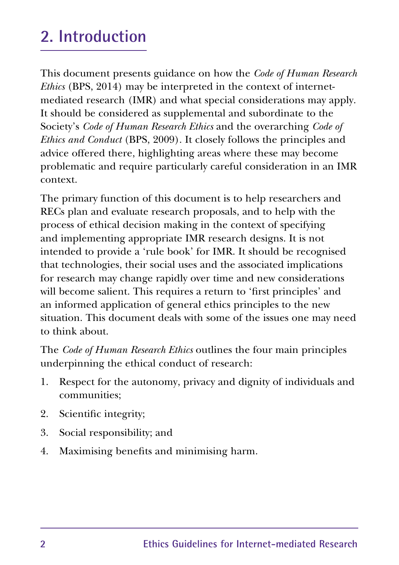## **2. Introduction**

This document presents guidance on how the *Code of Human Research Ethics* (BPS, 2014) may be interpreted in the context of internetmediated research (IMR) and what special considerations may apply. It should be considered as supplemental and subordinate to the Society's *Code of Human Research Ethics* and the overarching *Code of Ethics and Conduct* (BPS, 2009). It closely follows the principles and advice offered there, highlighting areas where these may become problematic and require particularly careful consideration in an IMR context.

The primary function of this document is to help researchers and RECs plan and evaluate research proposals, and to help with the process of ethical decision making in the context of specifying and implementing appropriate IMR research designs. It is not intended to provide a 'rule book' for IMR. It should be recognised that technologies, their social uses and the associated implications for research may change rapidly over time and new considerations will become salient. This requires a return to 'first principles' and an informed application of general ethics principles to the new situation. This document deals with some of the issues one may need to think about.

The *Code of Human Research Ethics* outlines the four main principles underpinning the ethical conduct of research:

- 1. Respect for the autonomy, privacy and dignity of individuals and communities;
- 2. Scientific integrity;
- 3. Social responsibility; and
- 4. Maximising benefits and minimising harm.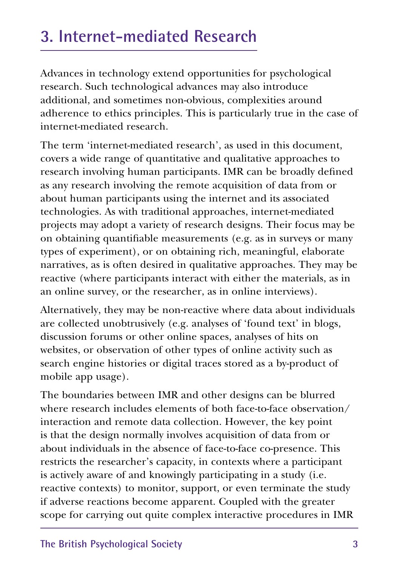## **3. Internet-mediated Research**

Advances in technology extend opportunities for psychological research. Such technological advances may also introduce additional, and sometimes non-obvious, complexities around adherence to ethics principles. This is particularly true in the case of internet-mediated research.

The term 'internet-mediated research', as used in this document, covers a wide range of quantitative and qualitative approaches to research involving human participants. IMR can be broadly defined as any research involving the remote acquisition of data from or about human participants using the internet and its associated technologies. As with traditional approaches, internet-mediated projects may adopt a variety of research designs. Their focus may be on obtaining quantifiable measurements (e.g. as in surveys or many types of experiment), or on obtaining rich, meaningful, elaborate narratives, as is often desired in qualitative approaches. They may be reactive (where participants interact with either the materials, as in an online survey, or the researcher, as in online interviews).

Alternatively, they may be non-reactive where data about individuals are collected unobtrusively (e.g. analyses of 'found text' in blogs, discussion forums or other online spaces, analyses of hits on websites, or observation of other types of online activity such as search engine histories or digital traces stored as a by-product of mobile app usage).

The boundaries between IMR and other designs can be blurred where research includes elements of both face-to-face observation/ interaction and remote data collection. However, the key point is that the design normally involves acquisition of data from or about individuals in the absence of face-to-face co-presence. This restricts the researcher's capacity, in contexts where a participant is actively aware of and knowingly participating in a study (i.e. reactive contexts) to monitor, support, or even terminate the study if adverse reactions become apparent. Coupled with the greater scope for carrying out quite complex interactive procedures in IMR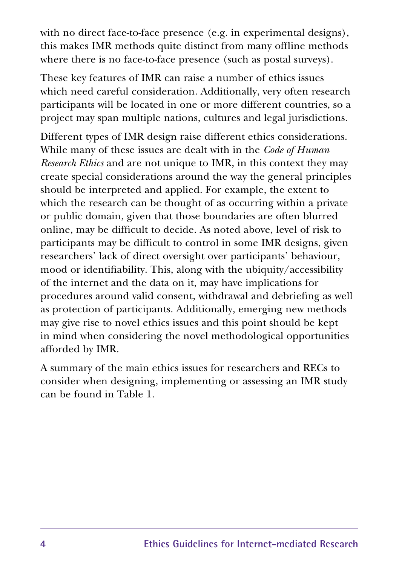with no direct face-to-face presence (e.g. in experimental designs), this makes IMR methods quite distinct from many offline methods where there is no face-to-face presence (such as postal surveys).

These key features of IMR can raise a number of ethics issues which need careful consideration. Additionally, very often research participants will be located in one or more different countries, so a project may span multiple nations, cultures and legal jurisdictions.

Different types of IMR design raise different ethics considerations. While many of these issues are dealt with in the *Code of Human Research Ethics* and are not unique to IMR, in this context they may create special considerations around the way the general principles should be interpreted and applied. For example, the extent to which the research can be thought of as occurring within a private or public domain, given that those boundaries are often blurred online, may be difficult to decide. As noted above, level of risk to participants may be difficult to control in some IMR designs, given researchers' lack of direct oversight over participants' behaviour, mood or identifiability. This, along with the ubiquity/accessibility of the internet and the data on it, may have implications for procedures around valid consent, withdrawal and debriefing as well as protection of participants. Additionally, emerging new methods may give rise to novel ethics issues and this point should be kept in mind when considering the novel methodological opportunities afforded by IMR.

A summary of the main ethics issues for researchers and RECs to consider when designing, implementing or assessing an IMR study can be found in Table 1.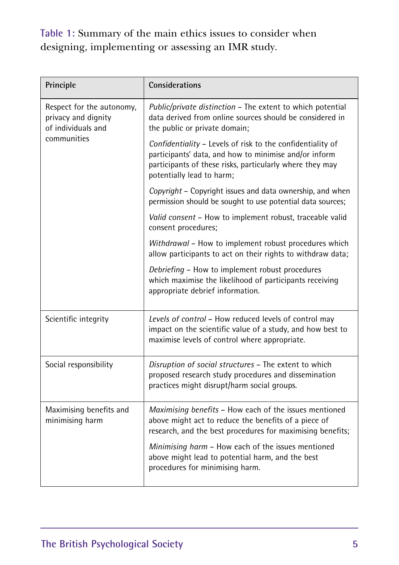**Table 1:** Summary of the main ethics issues to consider when designing, implementing or assessing an IMR study.

| Principle                                                              | <b>Considerations</b>                                                                                                                                                                                        |
|------------------------------------------------------------------------|--------------------------------------------------------------------------------------------------------------------------------------------------------------------------------------------------------------|
| Respect for the autonomy,<br>privacy and dignity<br>of individuals and | Public/private distinction - The extent to which potential<br>data derived from online sources should be considered in<br>the public or private domain;                                                      |
| communities                                                            | Confidentiality - Levels of risk to the confidentiality of<br>participants' data, and how to minimise and/or inform<br>participants of these risks, particularly where they may<br>potentially lead to harm; |
|                                                                        | Copyright - Copyright issues and data ownership, and when<br>permission should be sought to use potential data sources;                                                                                      |
|                                                                        | Valid consent - How to implement robust, traceable valid<br>consent procedures;                                                                                                                              |
|                                                                        | Withdrawal – How to implement robust procedures which<br>allow participants to act on their rights to withdraw data;                                                                                         |
|                                                                        | Debriefing - How to implement robust procedures<br>which maximise the likelihood of participants receiving<br>appropriate debrief information.                                                               |
| Scientific integrity                                                   | Levels of control - How reduced levels of control may<br>impact on the scientific value of a study, and how best to<br>maximise levels of control where appropriate.                                         |
| Social responsibility                                                  | Disruption of social structures - The extent to which<br>proposed research study procedures and dissemination<br>practices might disrupt/harm social groups.                                                 |
| Maximising benefits and<br>minimising harm                             | Maximising benefits - How each of the issues mentioned<br>above might act to reduce the benefits of a piece of<br>research, and the best procedures for maximising benefits;                                 |
|                                                                        | Minimising harm - How each of the issues mentioned<br>above might lead to potential harm, and the best<br>procedures for minimising harm.                                                                    |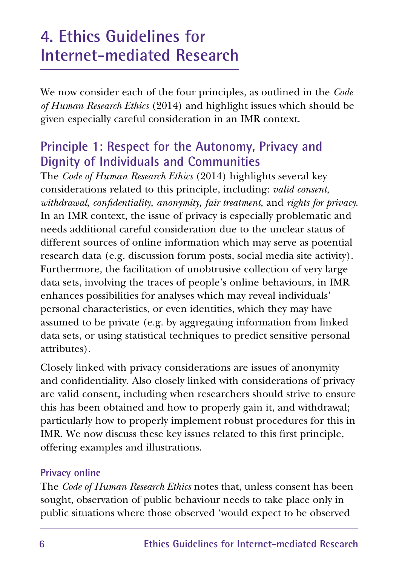### **4. Ethics Guidelines for Internet-mediated Research**

We now consider each of the four principles, as outlined in the *Code of Human Research Ethics* (2014) and highlight issues which should be given especially careful consideration in an IMR context.

### **Principle 1: Respect for the Autonomy, Privacy and Dignity of Individuals and Communities**

The *Code of Human Research Ethics* (2014) highlights several key considerations related to this principle, including: *valid consent, withdrawal, confidentiality, anonymity, fair treatment,* and *rights for privacy*. In an IMR context, the issue of privacy is especially problematic and needs additional careful consideration due to the unclear status of different sources of online information which may serve as potential research data (e.g. discussion forum posts, social media site activity). Furthermore, the facilitation of unobtrusive collection of very large data sets, involving the traces of people's online behaviours, in IMR enhances possibilities for analyses which may reveal individuals' personal characteristics, or even identities, which they may have assumed to be private (e.g. by aggregating information from linked data sets, or using statistical techniques to predict sensitive personal attributes).

Closely linked with privacy considerations are issues of anonymity and confidentiality. Also closely linked with considerations of privacy are valid consent, including when researchers should strive to ensure this has been obtained and how to properly gain it, and withdrawal; particularly how to properly implement robust procedures for this in IMR. We now discuss these key issues related to this first principle, offering examples and illustrations.

#### **Privacy online**

The *Code of Human Research Ethics* notes that, unless consent has been sought, observation of public behaviour needs to take place only in public situations where those observed 'would expect to be observed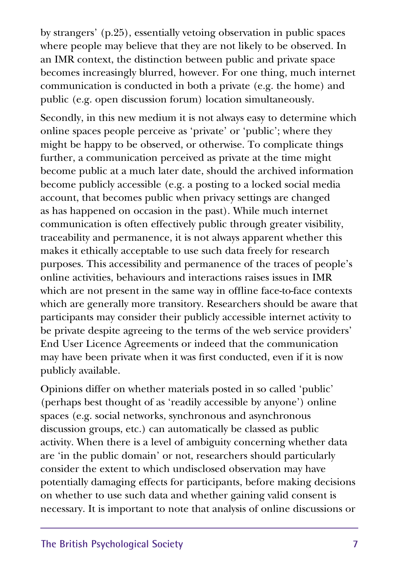by strangers' (p.25), essentially vetoing observation in public spaces where people may believe that they are not likely to be observed. In an IMR context, the distinction between public and private space becomes increasingly blurred, however. For one thing, much internet communication is conducted in both a private (e.g. the home) and public (e.g. open discussion forum) location simultaneously.

Secondly, in this new medium it is not always easy to determine which online spaces people perceive as 'private' or 'public'; where they might be happy to be observed, or otherwise. To complicate things further, a communication perceived as private at the time might become public at a much later date, should the archived information become publicly accessible (e.g. a posting to a locked social media account, that becomes public when privacy settings are changed as has happened on occasion in the past). While much internet communication is often effectively public through greater visibility, traceability and permanence, it is not always apparent whether this makes it ethically acceptable to use such data freely for research purposes. This accessibility and permanence of the traces of people's online activities, behaviours and interactions raises issues in IMR which are not present in the same way in offline face-to-face contexts which are generally more transitory. Researchers should be aware that participants may consider their publicly accessible internet activity to be private despite agreeing to the terms of the web service providers' End User Licence Agreements or indeed that the communication may have been private when it was first conducted, even if it is now publicly available.

Opinions differ on whether materials posted in so called 'public' (perhaps best thought of as 'readily accessible by anyone') online spaces (e.g. social networks, synchronous and asynchronous discussion groups, etc.) can automatically be classed as public activity. When there is a level of ambiguity concerning whether data are 'in the public domain' or not, researchers should particularly consider the extent to which undisclosed observation may have potentially damaging effects for participants, before making decisions on whether to use such data and whether gaining valid consent is necessary. It is important to note that analysis of online discussions or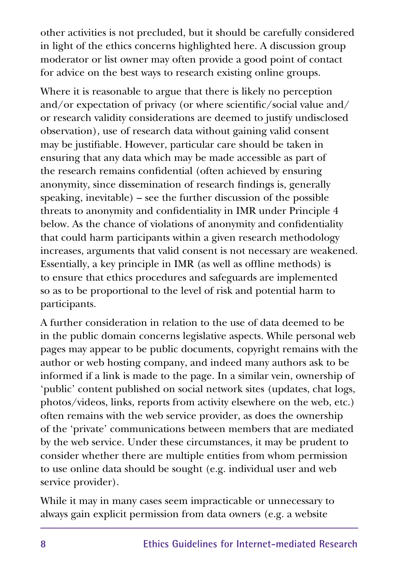other activities is not precluded, but it should be carefully considered in light of the ethics concerns highlighted here. A discussion group moderator or list owner may often provide a good point of contact for advice on the best ways to research existing online groups.

Where it is reasonable to argue that there is likely no perception and/or expectation of privacy (or where scientific/social value and/ or research validity considerations are deemed to justify undisclosed observation), use of research data without gaining valid consent may be justifiable. However, particular care should be taken in ensuring that any data which may be made accessible as part of the research remains confidential (often achieved by ensuring anonymity, since dissemination of research findings is, generally speaking, inevitable) – see the further discussion of the possible threats to anonymity and confidentiality in IMR under Principle 4 below. As the chance of violations of anonymity and confidentiality that could harm participants within a given research methodology increases, arguments that valid consent is not necessary are weakened. Essentially, a key principle in IMR (as well as offline methods) is to ensure that ethics procedures and safeguards are implemented so as to be proportional to the level of risk and potential harm to participants.

A further consideration in relation to the use of data deemed to be in the public domain concerns legislative aspects. While personal web pages may appear to be public documents, copyright remains with the author or web hosting company, and indeed many authors ask to be informed if a link is made to the page. In a similar vein, ownership of 'public' content published on social network sites (updates, chat logs, photos/videos, links, reports from activity elsewhere on the web, etc.) often remains with the web service provider, as does the ownership of the 'private' communications between members that are mediated by the web service. Under these circumstances, it may be prudent to consider whether there are multiple entities from whom permission to use online data should be sought (e.g. individual user and web service provider).

While it may in many cases seem impracticable or unnecessary to always gain explicit permission from data owners (e.g. a website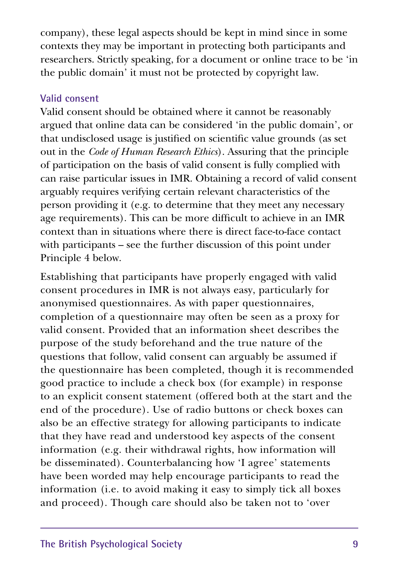company), these legal aspects should be kept in mind since in some contexts they may be important in protecting both participants and researchers. Strictly speaking, for a document or online trace to be 'in the public domain' it must not be protected by copyright law.

#### **Valid consent**

Valid consent should be obtained where it cannot be reasonably argued that online data can be considered 'in the public domain', or that undisclosed usage is justified on scientific value grounds (as set out in the *Code of Human Research Ethics*). Assuring that the principle of participation on the basis of valid consent is fully complied with can raise particular issues in IMR. Obtaining a record of valid consent arguably requires verifying certain relevant characteristics of the person providing it (e.g. to determine that they meet any necessary age requirements). This can be more difficult to achieve in an IMR context than in situations where there is direct face-to-face contact with participants – see the further discussion of this point under Principle 4 below.

Establishing that participants have properly engaged with valid consent procedures in IMR is not always easy, particularly for anonymised questionnaires. As with paper questionnaires, completion of a questionnaire may often be seen as a proxy for valid consent. Provided that an information sheet describes the purpose of the study beforehand and the true nature of the questions that follow, valid consent can arguably be assumed if the questionnaire has been completed, though it is recommended good practice to include a check box (for example) in response to an explicit consent statement (offered both at the start and the end of the procedure). Use of radio buttons or check boxes can also be an effective strategy for allowing participants to indicate that they have read and understood key aspects of the consent information (e.g. their withdrawal rights, how information will be disseminated). Counterbalancing how 'I agree' statements have been worded may help encourage participants to read the information (i.e. to avoid making it easy to simply tick all boxes and proceed). Though care should also be taken not to 'over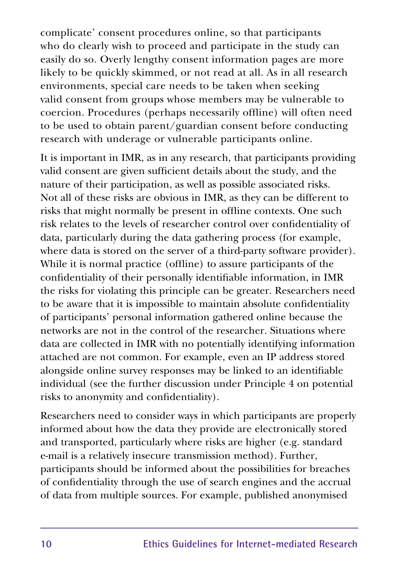complicate' consent procedures online, so that participants who do clearly wish to proceed and participate in the study can easily do so. Overly lengthy consent information pages are more likely to be quickly skimmed, or not read at all. As in all research environments, special care needs to be taken when seeking valid consent from groups whose members may be vulnerable to coercion. Procedures (perhaps necessarily offline) will often need to be used to obtain parent/guardian consent before conducting research with underage or vulnerable participants online.

It is important in IMR, as in any research, that participants providing valid consent are given sufficient details about the study, and the nature of their participation, as well as possible associated risks. Not all of these risks are obvious in IMR, as they can be different to risks that might normally be present in offline contexts. One such risk relates to the levels of researcher control over confidentiality of data, particularly during the data gathering process (for example, where data is stored on the server of a third-party software provider). While it is normal practice (offline) to assure participants of the confidentiality of their personally identifiable information, in IMR the risks for violating this principle can be greater. Researchers need to be aware that it is impossible to maintain absolute confidentiality of participants' personal information gathered online because the networks are not in the control of the researcher. Situations where data are collected in IMR with no potentially identifying information attached are not common. For example, even an IP address stored alongside online survey responses may be linked to an identifiable individual (see the further discussion under Principle 4 on potential risks to anonymity and confidentiality).

Researchers need to consider ways in which participants are properly informed about how the data they provide are electronically stored and transported, particularly where risks are higher (e.g. standard e-mail is a relatively insecure transmission method). Further, participants should be informed about the possibilities for breaches of confidentiality through the use of search engines and the accrual of data from multiple sources. For example, published anonymised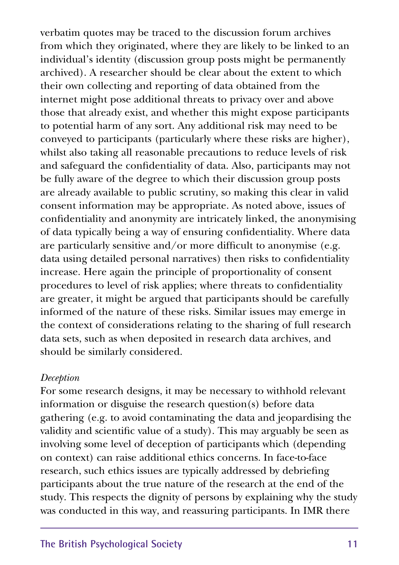verbatim quotes may be traced to the discussion forum archives from which they originated, where they are likely to be linked to an individual's identity (discussion group posts might be permanently archived). A researcher should be clear about the extent to which their own collecting and reporting of data obtained from the internet might pose additional threats to privacy over and above those that already exist, and whether this might expose participants to potential harm of any sort. Any additional risk may need to be conveyed to participants (particularly where these risks are higher), whilst also taking all reasonable precautions to reduce levels of risk and safeguard the confidentiality of data. Also, participants may not be fully aware of the degree to which their discussion group posts are already available to public scrutiny, so making this clear in valid consent information may be appropriate. As noted above, issues of confidentiality and anonymity are intricately linked, the anonymising of data typically being a way of ensuring confidentiality. Where data are particularly sensitive and/or more difficult to anonymise (e.g. data using detailed personal narratives) then risks to confidentiality increase. Here again the principle of proportionality of consent procedures to level of risk applies; where threats to confidentiality are greater, it might be argued that participants should be carefully informed of the nature of these risks. Similar issues may emerge in the context of considerations relating to the sharing of full research data sets, such as when deposited in research data archives, and should be similarly considered.

#### *Deception*

For some research designs, it may be necessary to withhold relevant information or disguise the research question(s) before data gathering (e.g. to avoid contaminating the data and jeopardising the validity and scientific value of a study). This may arguably be seen as involving some level of deception of participants which (depending on context) can raise additional ethics concerns. In face-to-face research, such ethics issues are typically addressed by debriefing participants about the true nature of the research at the end of the study. This respects the dignity of persons by explaining why the study was conducted in this way, and reassuring participants. In IMR there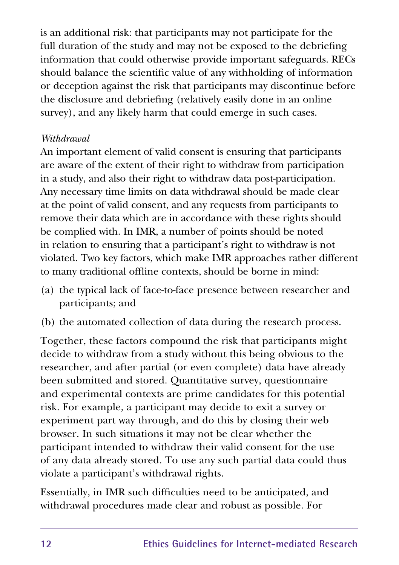is an additional risk: that participants may not participate for the full duration of the study and may not be exposed to the debriefing information that could otherwise provide important safeguards. RECs should balance the scientific value of any withholding of information or deception against the risk that participants may discontinue before the disclosure and debriefing (relatively easily done in an online survey), and any likely harm that could emerge in such cases.

#### *Withdrawal*

An important element of valid consent is ensuring that participants are aware of the extent of their right to withdraw from participation in a study, and also their right to withdraw data post-participation. Any necessary time limits on data withdrawal should be made clear at the point of valid consent, and any requests from participants to remove their data which are in accordance with these rights should be complied with. In IMR, a number of points should be noted in relation to ensuring that a participant's right to withdraw is not violated. Two key factors, which make IMR approaches rather different to many traditional offline contexts, should be borne in mind:

- (a) the typical lack of face-to-face presence between researcher and participants; and
- (b) the automated collection of data during the research process.

Together, these factors compound the risk that participants might decide to withdraw from a study without this being obvious to the researcher, and after partial (or even complete) data have already been submitted and stored. Quantitative survey, questionnaire and experimental contexts are prime candidates for this potential risk. For example, a participant may decide to exit a survey or experiment part way through, and do this by closing their web browser. In such situations it may not be clear whether the participant intended to withdraw their valid consent for the use of any data already stored. To use any such partial data could thus violate a participant's withdrawal rights.

Essentially, in IMR such difficulties need to be anticipated, and withdrawal procedures made clear and robust as possible. For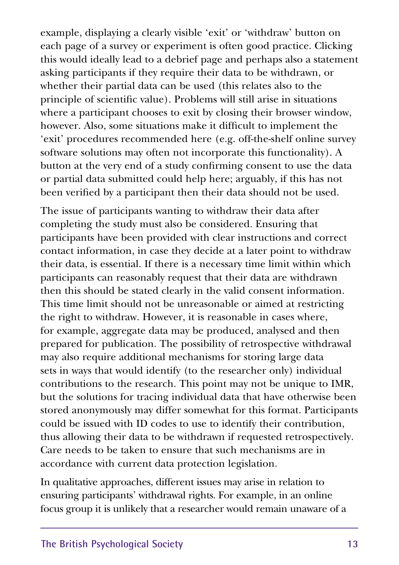example, displaying a clearly visible 'exit' or 'withdraw' button on each page of a survey or experiment is often good practice. Clicking this would ideally lead to a debrief page and perhaps also a statement asking participants if they require their data to be withdrawn, or whether their partial data can be used (this relates also to the principle of scientific value). Problems will still arise in situations where a participant chooses to exit by closing their browser window, however. Also, some situations make it difficult to implement the 'exit' procedures recommended here (e.g. off-the-shelf online survey software solutions may often not incorporate this functionality). A button at the very end of a study confirming consent to use the data or partial data submitted could help here; arguably, if this has not been verified by a participant then their data should not be used.

The issue of participants wanting to withdraw their data after completing the study must also be considered. Ensuring that participants have been provided with clear instructions and correct contact information, in case they decide at a later point to withdraw their data, is essential. If there is a necessary time limit within which participants can reasonably request that their data are withdrawn then this should be stated clearly in the valid consent information. This time limit should not be unreasonable or aimed at restricting the right to withdraw. However, it is reasonable in cases where, for example, aggregate data may be produced, analysed and then prepared for publication. The possibility of retrospective withdrawal may also require additional mechanisms for storing large data sets in ways that would identify (to the researcher only) individual contributions to the research. This point may not be unique to IMR, but the solutions for tracing individual data that have otherwise been stored anonymously may differ somewhat for this format. Participants could be issued with ID codes to use to identify their contribution, thus allowing their data to be withdrawn if requested retrospectively. Care needs to be taken to ensure that such mechanisms are in accordance with current data protection legislation.

In qualitative approaches, different issues may arise in relation to ensuring participants' withdrawal rights. For example, in an online focus group it is unlikely that a researcher would remain unaware of a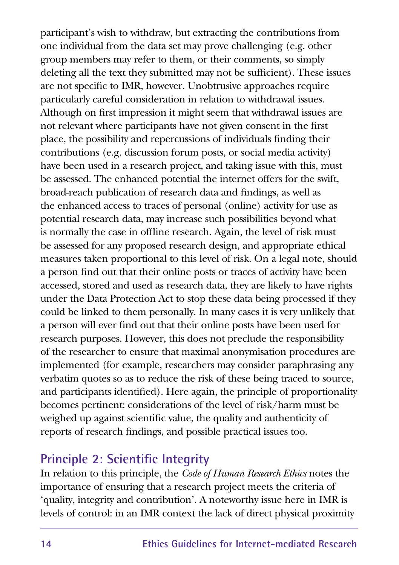participant's wish to withdraw, but extracting the contributions from one individual from the data set may prove challenging (e.g. other group members may refer to them, or their comments, so simply deleting all the text they submitted may not be sufficient). These issues are not specific to IMR, however. Unobtrusive approaches require particularly careful consideration in relation to withdrawal issues. Although on first impression it might seem that withdrawal issues are not relevant where participants have not given consent in the first place, the possibility and repercussions of individuals finding their contributions (e.g. discussion forum posts, or social media activity) have been used in a research project, and taking issue with this, must be assessed. The enhanced potential the internet offers for the swift, broad-reach publication of research data and findings, as well as the enhanced access to traces of personal (online) activity for use as potential research data, may increase such possibilities beyond what is normally the case in offline research. Again, the level of risk must be assessed for any proposed research design, and appropriate ethical measures taken proportional to this level of risk. On a legal note, should a person find out that their online posts or traces of activity have been accessed, stored and used as research data, they are likely to have rights under the Data Protection Act to stop these data being processed if they could be linked to them personally. In many cases it is very unlikely that a person will ever find out that their online posts have been used for research purposes. However, this does not preclude the responsibility of the researcher to ensure that maximal anonymisation procedures are implemented (for example, researchers may consider paraphrasing any verbatim quotes so as to reduce the risk of these being traced to source, and participants identified). Here again, the principle of proportionality becomes pertinent: considerations of the level of risk/harm must be weighed up against scientific value, the quality and authenticity of reports of research findings, and possible practical issues too.

### **Principle 2: Scientific Integrity**

In relation to this principle, the *Code of Human Research Ethics* notes the importance of ensuring that a research project meets the criteria of 'quality, integrity and contribution'. A noteworthy issue here in IMR is levels of control: in an IMR context the lack of direct physical proximity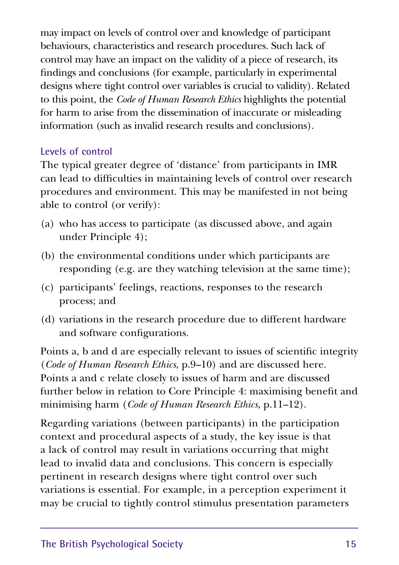may impact on levels of control over and knowledge of participant behaviours, characteristics and research procedures. Such lack of control may have an impact on the validity of a piece of research, its findings and conclusions (for example, particularly in experimental designs where tight control over variables is crucial to validity). Related to this point, the *Code of Human Research Ethics* highlights the potential for harm to arise from the dissemination of inaccurate or misleading information (such as invalid research results and conclusions).

#### **Levels of control**

The typical greater degree of 'distance' from participants in IMR can lead to difficulties in maintaining levels of control over research procedures and environment. This may be manifested in not being able to control (or verify):

- (a) who has access to participate (as discussed above, and again under Principle 4);
- (b) the environmental conditions under which participants are responding (e.g. are they watching television at the same time);
- (c) participants' feelings, reactions, responses to the research process; and
- (d) variations in the research procedure due to different hardware and software configurations.

Points a, b and d are especially relevant to issues of scientific integrity (*Code of Human Research Ethics*, p.9–10) and are discussed here. Points a and c relate closely to issues of harm and are discussed further below in relation to Core Principle 4: maximising benefit and minimising harm (*Code of Human Research Ethics*, p.11–12).

Regarding variations (between participants) in the participation context and procedural aspects of a study, the key issue is that a lack of control may result in variations occurring that might lead to invalid data and conclusions. This concern is especially pertinent in research designs where tight control over such variations is essential. For example, in a perception experiment it may be crucial to tightly control stimulus presentation parameters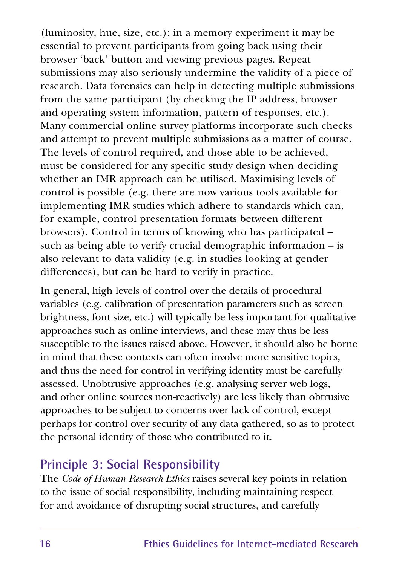(luminosity, hue, size, etc.); in a memory experiment it may be essential to prevent participants from going back using their browser 'back' button and viewing previous pages. Repeat submissions may also seriously undermine the validity of a piece of research. Data forensics can help in detecting multiple submissions from the same participant (by checking the IP address, browser and operating system information, pattern of responses, etc.). Many commercial online survey platforms incorporate such checks and attempt to prevent multiple submissions as a matter of course. The levels of control required, and those able to be achieved, must be considered for any specific study design when deciding whether an IMR approach can be utilised. Maximising levels of control is possible (e.g. there are now various tools available for implementing IMR studies which adhere to standards which can, for example, control presentation formats between different browsers). Control in terms of knowing who has participated – such as being able to verify crucial demographic information – is also relevant to data validity (e.g. in studies looking at gender differences), but can be hard to verify in practice.

In general, high levels of control over the details of procedural variables (e.g. calibration of presentation parameters such as screen brightness, font size, etc.) will typically be less important for qualitative approaches such as online interviews, and these may thus be less susceptible to the issues raised above. However, it should also be borne in mind that these contexts can often involve more sensitive topics, and thus the need for control in verifying identity must be carefully assessed. Unobtrusive approaches (e.g. analysing server web logs, and other online sources non-reactively) are less likely than obtrusive approaches to be subject to concerns over lack of control, except perhaps for control over security of any data gathered, so as to protect the personal identity of those who contributed to it.

### **Principle 3: Social Responsibility**

The *Code of Human Research Ethics* raises several key points in relation to the issue of social responsibility, including maintaining respect for and avoidance of disrupting social structures, and carefully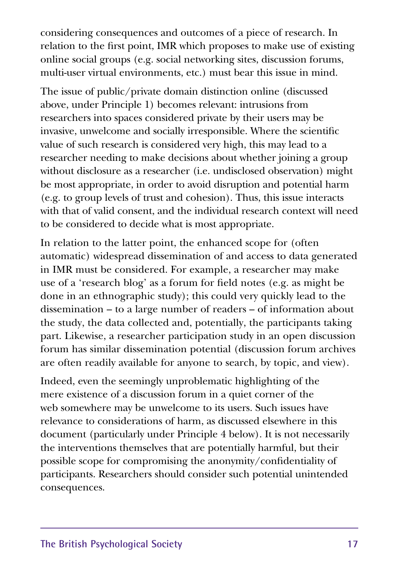considering consequences and outcomes of a piece of research. In relation to the first point, IMR which proposes to make use of existing online social groups (e.g. social networking sites, discussion forums, multi-user virtual environments, etc.) must bear this issue in mind.

The issue of public/private domain distinction online (discussed above, under Principle 1) becomes relevant: intrusions from researchers into spaces considered private by their users may be invasive, unwelcome and socially irresponsible. Where the scientific value of such research is considered very high, this may lead to a researcher needing to make decisions about whether joining a group without disclosure as a researcher (i.e. undisclosed observation) might be most appropriate, in order to avoid disruption and potential harm (e.g. to group levels of trust and cohesion). Thus, this issue interacts with that of valid consent, and the individual research context will need to be considered to decide what is most appropriate.

In relation to the latter point, the enhanced scope for (often automatic) widespread dissemination of and access to data generated in IMR must be considered. For example, a researcher may make use of a 'research blog' as a forum for field notes (e.g. as might be done in an ethnographic study); this could very quickly lead to the dissemination – to a large number of readers – of information about the study, the data collected and, potentially, the participants taking part. Likewise, a researcher participation study in an open discussion forum has similar dissemination potential (discussion forum archives are often readily available for anyone to search, by topic, and view).

Indeed, even the seemingly unproblematic highlighting of the mere existence of a discussion forum in a quiet corner of the web somewhere may be unwelcome to its users. Such issues have relevance to considerations of harm, as discussed elsewhere in this document (particularly under Principle 4 below). It is not necessarily the interventions themselves that are potentially harmful, but their possible scope for compromising the anonymity/confidentiality of participants. Researchers should consider such potential unintended consequences.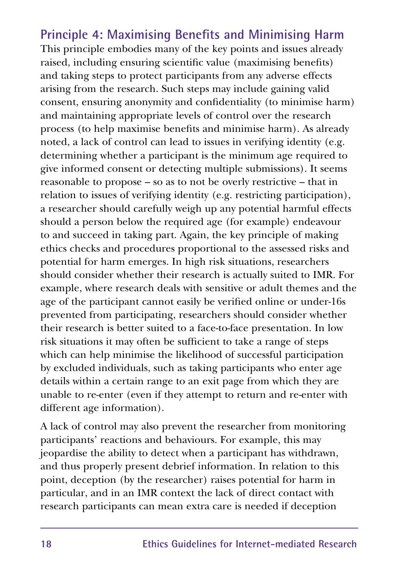#### **Principle 4: Maximising Benefits and Minimising Harm** This principle embodies many of the key points and issues already raised, including ensuring scientific value (maximising benefits) and taking steps to protect participants from any adverse effects arising from the research. Such steps may include gaining valid consent, ensuring anonymity and confidentiality (to minimise harm) and maintaining appropriate levels of control over the research process (to help maximise benefits and minimise harm). As already noted, a lack of control can lead to issues in verifying identity (e.g. determining whether a participant is the minimum age required to give informed consent or detecting multiple submissions). It seems reasonable to propose – so as to not be overly restrictive – that in relation to issues of verifying identity (e.g. restricting participation), a researcher should carefully weigh up any potential harmful effects should a person below the required age (for example) endeavour to and succeed in taking part. Again, the key principle of making ethics checks and procedures proportional to the assessed risks and potential for harm emerges. In high risk situations, researchers should consider whether their research is actually suited to IMR. For example, where research deals with sensitive or adult themes and the age of the participant cannot easily be verified online or under-16s prevented from participating, researchers should consider whether their research is better suited to a face-to-face presentation. In low risk situations it may often be sufficient to take a range of steps which can help minimise the likelihood of successful participation by excluded individuals, such as taking participants who enter age details within a certain range to an exit page from which they are unable to re-enter (even if they attempt to return and re-enter with different age information).

A lack of control may also prevent the researcher from monitoring participants' reactions and behaviours. For example, this may jeopardise the ability to detect when a participant has withdrawn, and thus properly present debrief information. In relation to this point, deception (by the researcher) raises potential for harm in particular, and in an IMR context the lack of direct contact with research participants can mean extra care is needed if deception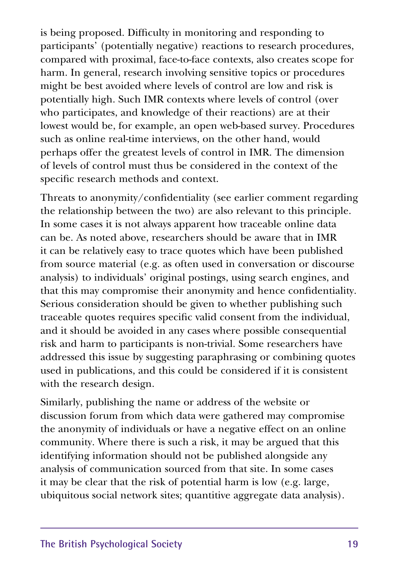is being proposed. Difficulty in monitoring and responding to participants' (potentially negative) reactions to research procedures, compared with proximal, face-to-face contexts, also creates scope for harm. In general, research involving sensitive topics or procedures might be best avoided where levels of control are low and risk is potentially high. Such IMR contexts where levels of control (over who participates, and knowledge of their reactions) are at their lowest would be, for example, an open web-based survey. Procedures such as online real-time interviews, on the other hand, would perhaps offer the greatest levels of control in IMR. The dimension of levels of control must thus be considered in the context of the specific research methods and context.

Threats to anonymity/confidentiality (see earlier comment regarding the relationship between the two) are also relevant to this principle. In some cases it is not always apparent how traceable online data can be. As noted above, researchers should be aware that in IMR it can be relatively easy to trace quotes which have been published from source material (e.g. as often used in conversation or discourse analysis) to individuals' original postings, using search engines, and that this may compromise their anonymity and hence confidentiality. Serious consideration should be given to whether publishing such traceable quotes requires specific valid consent from the individual, and it should be avoided in any cases where possible consequential risk and harm to participants is non-trivial. Some researchers have addressed this issue by suggesting paraphrasing or combining quotes used in publications, and this could be considered if it is consistent with the research design.

Similarly, publishing the name or address of the website or discussion forum from which data were gathered may compromise the anonymity of individuals or have a negative effect on an online community. Where there is such a risk, it may be argued that this identifying information should not be published alongside any analysis of communication sourced from that site. In some cases it may be clear that the risk of potential harm is low (e.g. large, ubiquitous social network sites; quantitive aggregate data analysis).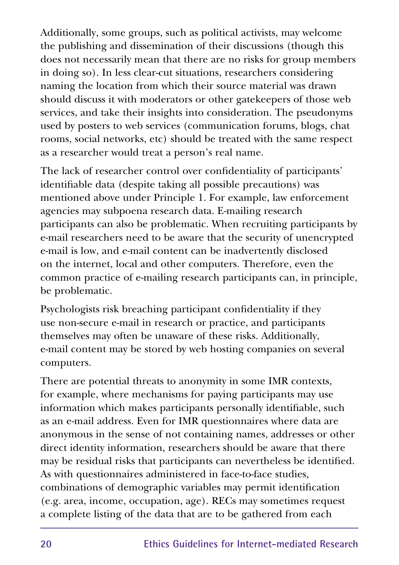Additionally, some groups, such as political activists, may welcome the publishing and dissemination of their discussions (though this does not necessarily mean that there are no risks for group members in doing so). In less clear-cut situations, researchers considering naming the location from which their source material was drawn should discuss it with moderators or other gatekeepers of those web services, and take their insights into consideration. The pseudonyms used by posters to web services (communication forums, blogs, chat rooms, social networks, etc) should be treated with the same respect as a researcher would treat a person's real name.

The lack of researcher control over confidentiality of participants' identifiable data (despite taking all possible precautions) was mentioned above under Principle 1. For example, law enforcement agencies may subpoena research data. E-mailing research participants can also be problematic. When recruiting participants by e-mail researchers need to be aware that the security of unencrypted e-mail is low, and e-mail content can be inadvertently disclosed on the internet, local and other computers. Therefore, even the common practice of e-mailing research participants can, in principle, be problematic.

Psychologists risk breaching participant confidentiality if they use non-secure e-mail in research or practice, and participants themselves may often be unaware of these risks. Additionally, e-mail content may be stored by web hosting companies on several computers.

There are potential threats to anonymity in some IMR contexts, for example, where mechanisms for paying participants may use information which makes participants personally identifiable, such as an e-mail address. Even for IMR questionnaires where data are anonymous in the sense of not containing names, addresses or other direct identity information, researchers should be aware that there may be residual risks that participants can nevertheless be identified. As with questionnaires administered in face-to-face studies, combinations of demographic variables may permit identification (e.g. area, income, occupation, age). RECs may sometimes request a complete listing of the data that are to be gathered from each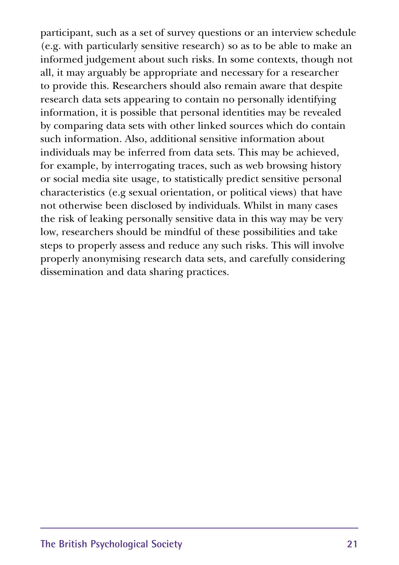participant, such as a set of survey questions or an interview schedule (e.g. with particularly sensitive research) so as to be able to make an informed judgement about such risks. In some contexts, though not all, it may arguably be appropriate and necessary for a researcher to provide this. Researchers should also remain aware that despite research data sets appearing to contain no personally identifying information, it is possible that personal identities may be revealed by comparing data sets with other linked sources which do contain such information. Also, additional sensitive information about individuals may be inferred from data sets. This may be achieved, for example, by interrogating traces, such as web browsing history or social media site usage, to statistically predict sensitive personal characteristics (e.g sexual orientation, or political views) that have not otherwise been disclosed by individuals. Whilst in many cases the risk of leaking personally sensitive data in this way may be very low, researchers should be mindful of these possibilities and take steps to properly assess and reduce any such risks. This will involve properly anonymising research data sets, and carefully considering dissemination and data sharing practices.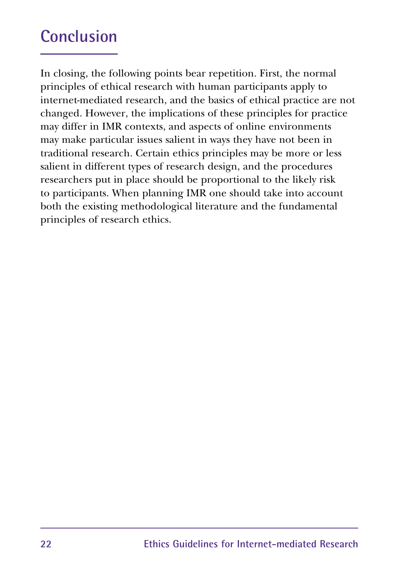## **Conclusion**

In closing, the following points bear repetition. First, the normal principles of ethical research with human participants apply to internet-mediated research, and the basics of ethical practice are not changed. However, the implications of these principles for practice may differ in IMR contexts, and aspects of online environments may make particular issues salient in ways they have not been in traditional research. Certain ethics principles may be more or less salient in different types of research design, and the procedures researchers put in place should be proportional to the likely risk to participants. When planning IMR one should take into account both the existing methodological literature and the fundamental principles of research ethics.